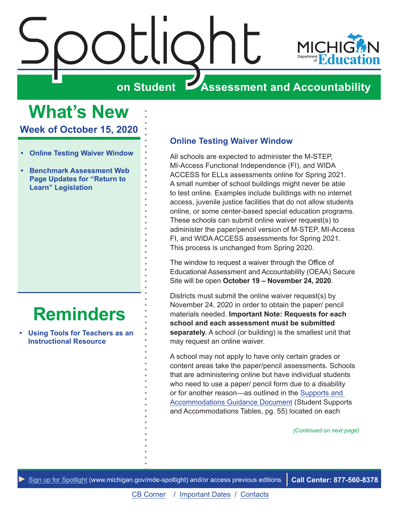<span id="page-0-0"></span>

**What's New**

**Week of October 15, 2020**

- **• Online Testing Waiver Window**
- **• [Benchmark Assessment Web](#page-1-0)  [Page Updates for "Return to](#page-1-0)  [Learn" Legislation](#page-1-0)**

# **[Reminders](#page-2-0)**

**• [Using Tools for Teachers as an](#page-2-1)  [Instructional Resource](#page-2-1)**

#### **Online Testing Waiver Window**

All schools are expected to administer the M-STEP, MI-Access Functional Independence (FI), and WIDA ACCESS for ELLs assessments online for Spring 2021. A small number of school buildings might never be able to test online. Examples include buildings with no internet access, juvenile justice facilities that do not allow students online, or some center-based special education programs. These schools can submit online waiver request(s) to administer the paper/pencil version of M-STEP, MI-Access FI, and WIDA ACCESS assessments for Spring 2021. This process is unchanged from Spring 2020.

The window to request a waiver through the Office of Educational Assessment and Accountability (OEAA) Secure Site will be open **October 19 – November 24, 2020**.

Districts must submit the online waiver request(s) by November 24, 2020 in order to obtain the paper/ pencil materials needed. **Important Note: Requests for each school and each assessment must be submitted separately.** A school (or building) is the smallest unit that may request an online waiver.

A school may not apply to have only certain grades or content areas take the paper/pencil assessments. Schools that are administering online but have individual students who need to use a paper/ pencil form due to a disability or for another reason—as outlined in the [Supports and](https://www.michigan.gov/documents/mde/Michigan_Accommodations_Manual.final_480016_7.pdf)  [Accommodations Guidance Document](https://www.michigan.gov/documents/mde/Michigan_Accommodations_Manual.final_480016_7.pdf) (Student Supports and Accommodations Tables, pg. 55) located on each

*(Continued on next page)*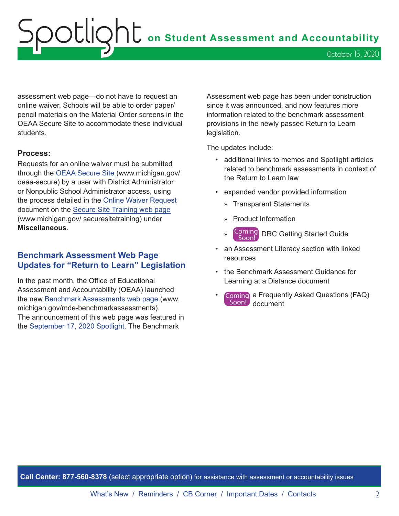# <span id="page-1-0"></span>OOUQht on Student Assessment and Accountability October 15, 2020

assessment web page—do not have to request an online waiver. Schools will be able to order paper/ pencil materials on the Material Order screens in the OEAA Secure Site to accommodate these individual students.

#### **Process:**

Requests for an online waiver must be submitted through the [OEAA Secure Site](http://www.michigan.gov/oeaa-secure) (www.michigan.gov/ oeaa-secure) by a user with District Administrator or Nonpublic School Administrator access, using the process detailed in the [Online Waiver Request](https://www.michigan.gov/documents/mde/Online_Waiver_Request_Quick_Reference_502848_7.pdf) document on the [Secure Site Training web page](http://www.michigan.gov/securesitetraining) (www.michigan.gov/ securesitetraining) under **Miscellaneous**.

#### **Benchmark Assessment Web Page Updates for "Return to Learn" Legislation**

In the past month, the Office of Educational Assessment and Accountability (OEAA) launched the new [Benchmark Assessments web page](http://www.michigan.gov/mde-benchmarkassessments) (www. michigan.gov/mde-benchmarkassessments). The announcement of this web page was featured in the [September 17, 2020 Spotlight.](https://www.michigan.gov/documents/mde/Spotlight_9-17-20_1_702644_7.pdf) The Benchmark

Assessment web page has been under construction since it was announced, and now features more information related to the benchmark assessment provisions in the newly passed Return to Learn legislation.

The updates include:

- additional links to memos and Spotlight articles related to benchmark assessments in context of the Return to Learn law
- expanded vendor provided information
	- » Transparent Statements
	- » Product Information
	- » Coming Soon! DRC Getting Started Guide
- an Assessment Literacy section with linked resources
- the Benchmark Assessment Guidance for Learning at a Distance document
- Coming a Frequently Asked Questions (FAQ) Soon! document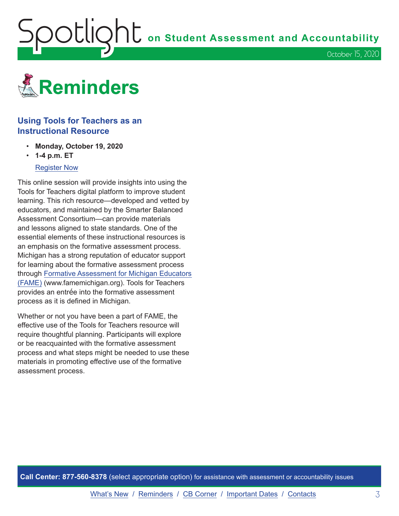<span id="page-2-1"></span>**OOUIQNU** on Student Assessment and Accountability

October 15, 2020

<span id="page-2-0"></span>

#### **Using Tools for Teachers as an Instructional Resource**

- **Monday, October 19, 2020**
- **1-4 p.m. ET**

#### [Register Now](https://www.michiganassessmentconsortium.org/event/using-tools-for-teachers-as-an-instructional-resource/)

This online session will provide insights into using the Tools for Teachers digital platform to improve student learning. This rich resource—developed and vetted by educators, and maintained by the Smarter Balanced Assessment Consortium—can provide materials and lessons aligned to state standards. One of the essential elements of these instructional resources is an emphasis on the formative assessment process. Michigan has a strong reputation of educator support for learning about the formative assessment process through [Formative Assessment for Michigan Educators](http://www.FAMEMichigan.org) [\(FAME\)](http://www.FAMEMichigan.org) (www.famemichigan.org). Tools for Teachers provides an entrée into the formative assessment process as it is defined in Michigan.

Whether or not you have been a part of FAME, the effective use of the Tools for Teachers resource will require thoughtful planning. Participants will explore or be reacquainted with the formative assessment process and what steps might be needed to use these materials in promoting effective use of the formative assessment process.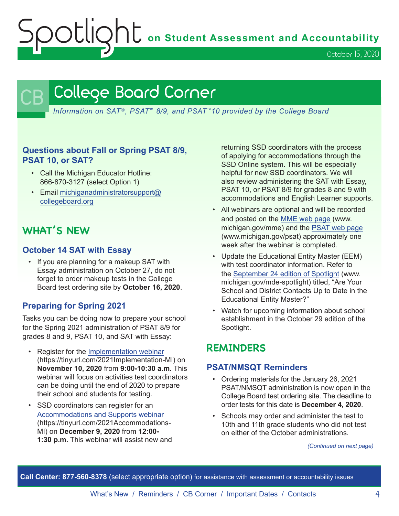**Spotlight** on Student Assessment and Accountability

October 15, 2020

## <span id="page-3-0"></span>College Board Corner

*Information on SAT*®*, PSAT*™ *8/9, and PSAT*™*10 provided by the College Board*

#### **Questions about Fall or Spring PSAT 8/9, PSAT 10, or SAT?**

- Call the Michigan Educator Hotline: 866-870-3127 (select Option 1)
- Email [michiganadministratorsupport@](mailto:michiganadministratorsupport%40collegeboard.org?subject=) [collegeboard.org](mailto:michiganadministratorsupport%40collegeboard.org?subject=)

## **WHAT'S NEW**

#### **October 14 SAT with Essay**

• If you are planning for a makeup SAT with Essay administration on October 27, do not forget to order makeup tests in the College Board test ordering site by **October 16, 2020**.

#### **Preparing for Spring 2021**

Tasks you can be doing now to prepare your school for the Spring 2021 administration of PSAT 8/9 for grades 8 and 9, PSAT 10, and SAT with Essay:

- Register for the [Implementation webinar](https://tinyurl.com/2021Implementation-MI) (https://tinyurl.com/2021Implementation-MI) on **November 10, 2020** from **9:00-10:30 a.m.** This webinar will focus on activities test coordinators can be doing until the end of 2020 to prepare their school and students for testing.
- SSD coordinators can register for an [Accommodations and Supports webinar](https://tinyurl.com/2021Accommodations-MI) (https://tinyurl.com/2021Accommodations-MI) on **December 9, 2020** from **12:00- 1:30 p.m.** This webinar will assist new and

returning SSD coordinators with the process of applying for accommodations through the SSD Online system. This will be especially helpful for new SSD coordinators. We will also review administering the SAT with Essay, PSAT 10, or PSAT 8/9 for grades 8 and 9 with accommodations and English Learner supports.

- All webinars are optional and will be recorded and posted on the MME [web page](www.michigan.gov/mme) (www. michigan.gov/mme) and the PSA[T web page](http://www.michigan.gov/psat) (www.michigan.gov/psat) approximately one week after the webinar is completed.
- Update the Educational Entity Master (EEM) with test coordinator information. Refer to the [September 24 edition of Spotlight](https://www.michigan.gov/documents/mde/Spotlight_9-24-20_703294_7.pdf) (www. michigan.gov/mde-spotlight) titled, "Are Your School and District Contacts Up to Date in the Educational Entity Master?"
- Watch for upcoming information about school establishment in the October 29 edition of the Spotlight.

### **REMINDERS**

#### **PSAT/NMSQT Reminders**

- Ordering materials for the January 26, 2021 PSAT/NMSQT administration is now open in the College Board test ordering site. The deadline to order tests for this date is **December 4, 2020**.
- Schools may order and administer the test to 10th and 11th grade students who did not test on either of the October administrations.

*(Continued on next page)*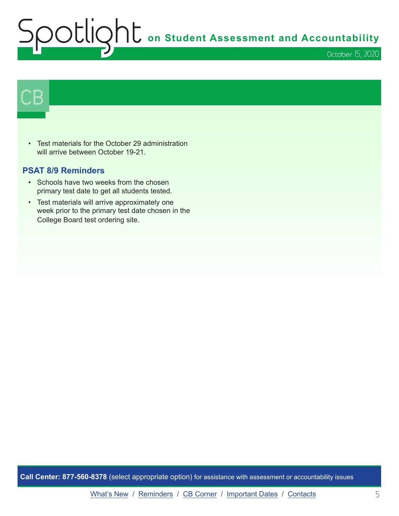# **Subsetlington Student Assessment and Accountability** October 15, 2020

# $\mathsf{CB}\mid$

• Test materials for the October 29 administration will arrive between October 19-21.

#### **PSAT 8/9 Reminders**

- Schools have two weeks from the chosen primary test date to get all students tested.
- Test materials will arrive approximately one week prior to the primary test date chosen in the College Board test ordering site.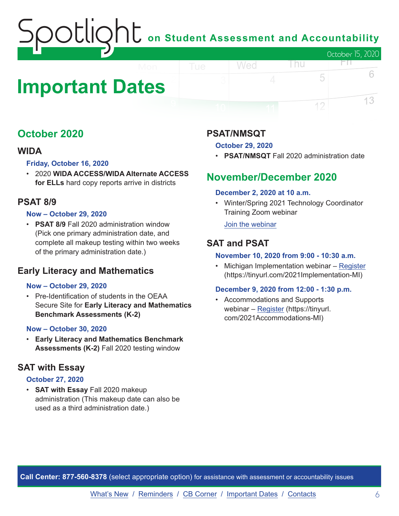# on Student Assessment and Accountability October 15, 2020

# <span id="page-5-0"></span>**Important Dates**

## **October 2020**

#### **WIDA**

#### **Friday, October 16, 2020**

• 2020 **WIDA ACCESS/WIDA Alternate ACCESS for ELLs** hard copy reports arrive in districts

#### **PSAT 8/9**

#### **Now – October 29, 2020**

• **PSAT 8/9** Fall 2020 administration window (Pick one primary administration date, and complete all makeup testing within two weeks of the primary administration date.)

### **Early Literacy and Mathematics**

#### **Now – October 29, 2020**

• Pre-Identification of students in the OEAA Secure Site for **Early Literacy and Mathematics Benchmark Assessments (K-2)**

#### **Now – October 30, 2020**

• **Early Literacy and Mathematics Benchmark Assessments (K-2)** Fall 2020 testing window

#### **SAT with Essay**

#### **October 27, 2020**

• **SAT with Essay** Fall 2020 makeup administration (This makeup date can also be used as a third administration date.)

#### **PSAT/NMSQT**

#### **October 29, 2020**

Wed

• **PSAT/NMSQT** Fall 2020 administration date

l nu

FП.

5

12

6

13

### **November/December 2020**

#### **December 2, 2020 at 10 a.m.**

• Winter/Spring 2021 Technology Coordinator Training Zoom webinar

[Join the webinar](https://datarecognitioncorp.zoom.us/j/99441419689)

#### **SAT and PSAT**

#### **November 10, 2020 from 9:00 - 10:30 a.m.**

• Michigan Implementation webinar – [Register](https://tinyurl.com/2021Implementation-MI) (https://tinyurl.com/2021Implementation-MI)

#### **December 9, 2020 from 12:00 - 1:30 p.m.**

• Accommodations and Supports webinar – [Register](https://tinyurl.com/2021Accommodations-MI) (https://tinyurl. com/2021Accommodations-MI)